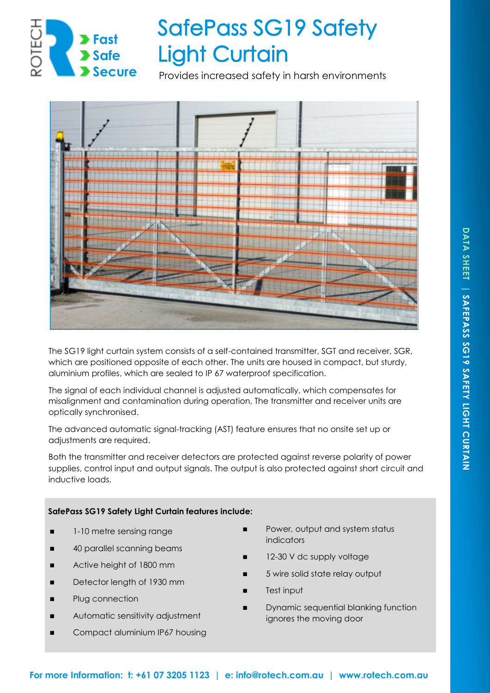

# **SafePass SG19 Safety Light Curtain**

Provides increased safety in harsh environments



The SG19 light curtain system consists of a self-contained transmitter, SGT and receiver, SGR, which are positioned opposite of each other. The units are housed in compact, but sturdy, aluminium profiles, which are sealed to IP 67 waterproof specification.

The signal of each individual channel is adjusted automatically, which compensates for misalignment and contamination during operation, The transmitter and receiver units are optically synchronised.

The advanced automatic signal-tracking (AST) feature ensures that no onsite set up or adjustments are required.

Both the transmitter and receiver detectors are protected against reverse polarity of power supplies, control input and output signals. The output is also protected against short circuit and inductive loads.

### **SafePass SG19 Safety Light Curtain features include:**

- 1-10 metre sensing range
- ◼ 40 parallel scanning beams
- Active height of 1800 mm
- Detector length of 1930 mm
- Plug connection
- Automatic sensitivity adjustment
- Compact aluminium IP67 housing
- Power, output and system status indicators
- 12-30 V dc supply voltage
- 5 wire solid state relay output
- Test input
- ◼ Dynamic sequential blanking function ignores the moving door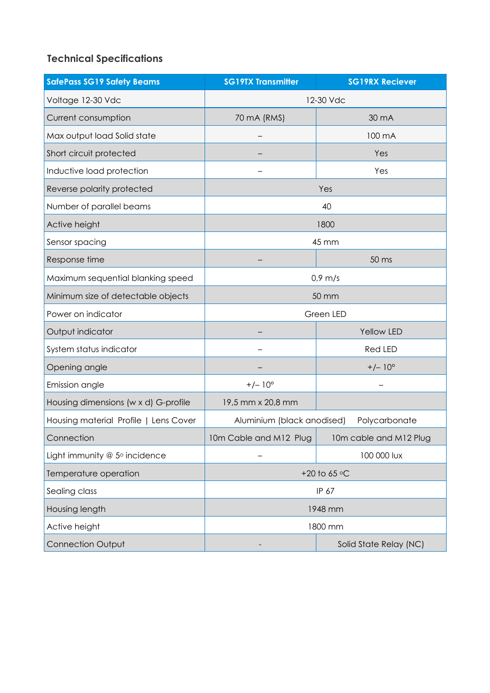## **Technical Specifications**

| <b>SafePass SG19 Safety Beams</b>     | <b>SG19TX Transmitter</b> | <b>SG19RX Reciever</b>                      |  |
|---------------------------------------|---------------------------|---------------------------------------------|--|
| Voltage 12-30 Vdc                     | 12-30 Vdc                 |                                             |  |
| Current consumption                   | 70 mA (RMS)               | 30 mA                                       |  |
| Max output load Solid state           |                           | 100 mA                                      |  |
| Short circuit protected               |                           | Yes                                         |  |
| Inductive load protection             |                           | Yes                                         |  |
| Reverse polarity protected            | Yes                       |                                             |  |
| Number of parallel beams              | 40                        |                                             |  |
| Active height                         | 1800                      |                                             |  |
| Sensor spacing                        | 45 mm                     |                                             |  |
| Response time                         |                           | 50 ms                                       |  |
| Maximum sequential blanking speed     | $0.9 \, \text{m/s}$       |                                             |  |
| Minimum size of detectable objects    | 50 mm                     |                                             |  |
| Power on indicator                    | Green LED                 |                                             |  |
| Output indicator                      |                           | Yellow LED                                  |  |
| System status indicator               |                           | <b>Red LED</b>                              |  |
| Opening angle                         |                           | $+/- 10^{\circ}$                            |  |
| Emission angle                        | $+/- 10^{\circ}$          |                                             |  |
| Housing dimensions (w x d) G-profile  | 19,5 mm x 20,8 mm         |                                             |  |
| Housing material Profile   Lens Cover |                           | Aluminium (black anodised)<br>Polycarbonate |  |
| Connection                            | 10m Cable and M12 Plug    | 10m cable and M12 Plug                      |  |
| Light immunity $@$ 5° incidence       |                           | 100 000 lux                                 |  |
| Temperature operation                 | +20 to 65 °C              |                                             |  |
| Sealing class                         | IP 67                     |                                             |  |
| Housing length                        | 1948 mm                   |                                             |  |
| Active height                         | 1800 mm                   |                                             |  |
| <b>Connection Output</b>              |                           | Solid State Relay (NC)                      |  |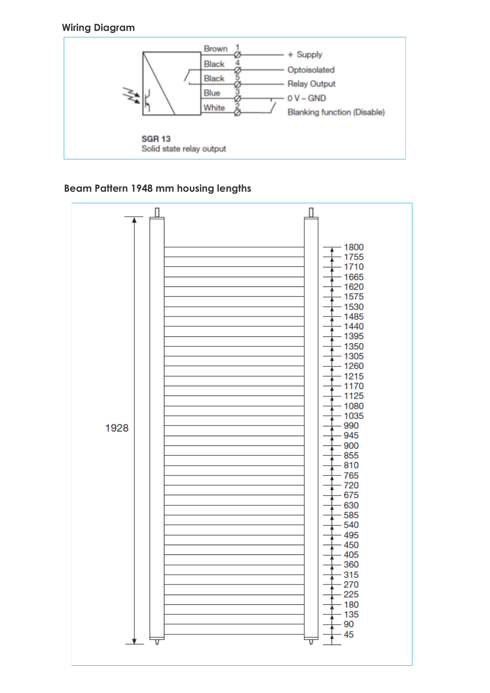## **Wiring Diagram**



## **Beam Pattern 1948 mm housing lengths**